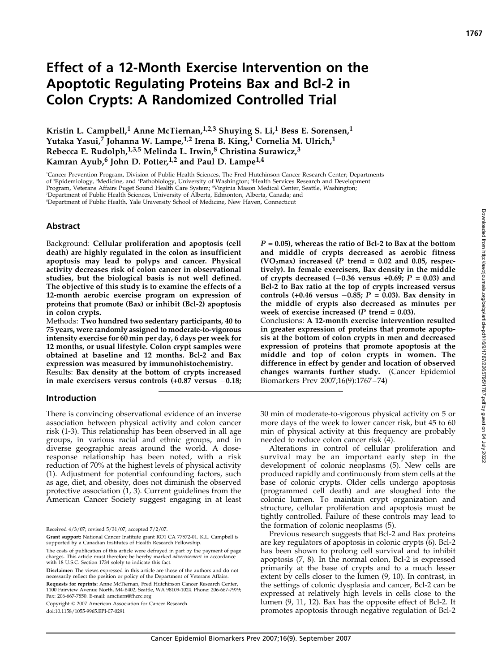# Effect of a 12-Month Exercise Intervention on the Apoptotic Regulating Proteins Bax and Bcl-2 in Colon Crypts: A Randomized Controlled Trial

Kristin L. Campbell,<sup>1</sup> Anne McTiernan,<sup>1,2,3</sup> Shuying S. Li,<sup>1</sup> Bess E. Sorensen,<sup>1</sup> Yutaka Yasui,<sup>7</sup> Johanna W. Lampe,<sup>1,2</sup> Irena B. King,<sup>1</sup> Cornelia M. Ulrich,<sup>1</sup> Rebecca E. Rudolph,<sup>1,3,5</sup> Melinda L. Irwin,<sup>8</sup> Christina Surawicz,<sup>3</sup> Kamran Ayub,<sup>6</sup> John D. Potter,<sup>1,2</sup> and Paul D. Lampe<sup>1,4</sup>

1 Cancer Prevention Program, Division of Public Health Sciences, The Fred Hutchinson Cancer Research Center; Departments of <sup>2</sup>Epidemiology, <sup>3</sup>Medicine, and 'Pathobiology, University of Washington; <sup>5</sup>Health Services Research and Development Program, Veterans Affairs Puget Sound Health Care System; <sup>6</sup> Virginia Mason Medical Center, Seattle, Washington; 7 Department of Public Health Sciences, University of Alberta, Edmonton, Alberta, Canada; and

8 Department of Public Health, Yale University School of Medicine, New Haven, Connecticut

#### Abstract

Background: Cellular proliferation and apoptosis (cell death) are highly regulated in the colon as insufficient apoptosis may lead to polyps and cancer. Physical activity decreases risk of colon cancer in observational studies, but the biological basis is not well defined. The objective of this study is to examine the effects of a 12-month aerobic exercise program on expression of proteins that promote (Bax) or inhibit (Bcl-2) apoptosis in colon crypts.

Methods: Two hundred two sedentary participants, 40 to 75 years, were randomly assigned to moderate-to-vigorous intensity exercise for 60 min per day, 6 days per week for 12 months, or usual lifestyle. Colon crypt samples were obtained at baseline and 12 months. Bcl-2 and Bax expression was measured by immunohistochemistry.

Results: Bax density at the bottom of crypts increased in male exercisers versus controls  $(+0.87 \text{ versus } -0.18;$ 

#### Introduction

There is convincing observational evidence of an inverse association between physical activity and colon cancer risk (1-3). This relationship has been observed in all age groups, in various racial and ethnic groups, and in diverse geographic areas around the world. A doseresponse relationship has been noted, with a risk reduction of 70% at the highest levels of physical activity (1). Adjustment for potential confounding factors, such as age, diet, and obesity, does not diminish the observed protective association (1, 3). Current guidelines from the American Cancer Society suggest engaging in at least

Disclaimer: The views expressed in this article are those of the authors and do not necessarily reflect the position or policy of the Department of Veterans Affairs. Requests for reprints: Anne McTiernan, Fred Hutchinson Cancer Research Center, 1100 Fairview Avenue North, M4-B402, Seattle, WA 98109-1024. Phone: 206-667-7979; Fax: 206-667-7850. E-mail: amctiern@fhcrc.org

Copyright © 2007 American Association for Cancer Research.

doi:10.1158/1055-9965.EPI-07-0291

 $P = 0.05$ , whereas the ratio of Bcl-2 to Bax at the bottom and middle of crypts decreased as aerobic fitness (VO<sub>2</sub>max) increased (P trend = 0.02 and 0.05, respectively). In female exercisers, Bax density in the middle of crypts decreased  $(-0.36$  versus  $+0.69$ ;  $P = 0.03$ ) and Bcl-2 to Bax ratio at the top of crypts increased versus controls (+0.46 versus  $-0.85$ ; P = 0.03). Bax density in the middle of crypts also decreased as minutes per week of exercise increased ( $P$  trend = 0.03).

Conclusions: A 12-month exercise intervention resulted in greater expression of proteins that promote apoptosis at the bottom of colon crypts in men and decreased expression of proteins that promote apoptosis at the middle and top of colon crypts in women. The difference in effect by gender and location of observed changes warrants further study. (Cancer Epidemiol Biomarkers Prev 2007;16(9):1767 – 74)

30 min of moderate-to-vigorous physical activity on 5 or more days of the week to lower cancer risk, but 45 to 60 min of physical activity at this frequency are probably needed to reduce colon cancer risk (4).

Alterations in control of cellular proliferation and survival may be an important early step in the development of colonic neoplasms (5). New cells are produced rapidly and continuously from stem cells at the base of colonic crypts. Older cells undergo apoptosis (programmed cell death) and are sloughed into the colonic lumen. To maintain crypt organization and structure, cellular proliferation and apoptosis must be tightly controlled. Failure of these controls may lead to the formation of colonic neoplasms (5).

Previous research suggests that Bcl-2 and Bax proteins are key regulators of apoptosis in colonic crypts (6). Bcl-2 has been shown to prolong cell survival and to inhibit apoptosis (7, 8). In the normal colon, Bcl-2 is expressed primarily at the base of crypts and to a much lesser extent by cells closer to the lumen (9, 10). In contrast, in the settings of colonic dysplasia and cancer, Bcl-2 can be expressed at relatively high levels in cells close to the lumen (9, 11, 12). Bax has the opposite effect of Bcl-2. It promotes apoptosis through negative regulation of Bcl-2

Received 4/3/07; revised 5/31/07; accepted 7/2/07.

Grant support: National Cancer Institute grant RO1 CA 77572-01. K.L. Campbell is supported by a Canadian Institutes of Health Research Fellowship.

The costs of publication of this article were defrayed in part by the payment of page charges. This article must therefore be hereby marked *advertisement* in accordance<br>with 18 U.S.C. Section 1734 solely to indicate this fact.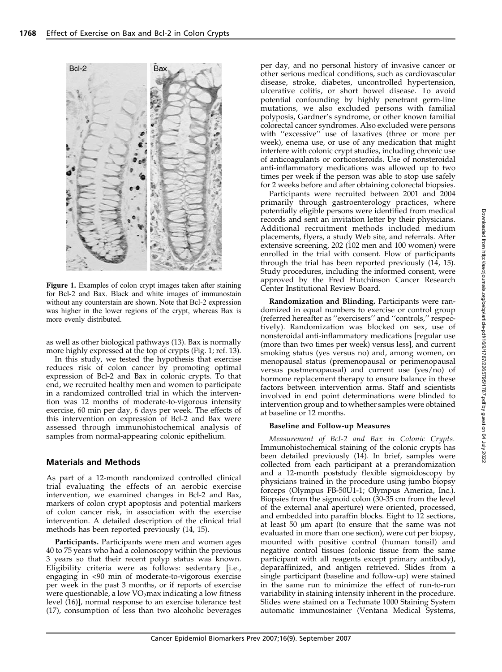

Figure 1. Examples of colon crypt images taken after staining for Bcl-2 and Bax. Black and white images of immunostain without any counterstain are shown. Note that Bcl-2 expression was higher in the lower regions of the crypt, whereas Bax is more evenly distributed.

as well as other biological pathways (13). Bax is normally more highly expressed at the top of crypts (Fig. 1; ref. 13).

In this study, we tested the hypothesis that exercise reduces risk of colon cancer by promoting optimal expression of Bcl-2 and Bax in colonic crypts. To that end, we recruited healthy men and women to participate in a randomized controlled trial in which the intervention was 12 months of moderate-to-vigorous intensity exercise, 60 min per day, 6 days per week. The effects of this intervention on expression of Bcl-2 and Bax were assessed through immunohistochemical analysis of samples from normal-appearing colonic epithelium.

## Materials and Methods

As part of a 12-month randomized controlled clinical trial evaluating the effects of an aerobic exercise intervention, we examined changes in Bcl-2 and Bax, markers of colon crypt apoptosis and potential markers of colon cancer risk, in association with the exercise intervention. A detailed description of the clinical trial methods has been reported previously (14, 15).

Participants. Participants were men and women ages 40 to 75 years who had a colonoscopy within the previous 3 years so that their recent polyp status was known. Eligibility criteria were as follows: sedentary [i.e., engaging in <90 min of moderate-to-vigorous exercise per week in the past 3 months, or if reports of exercise were questionable, a low  $VO<sub>2</sub>$ max indicating a low fitness level (16)], normal response to an exercise tolerance test (17), consumption of less than two alcoholic beverages per day, and no personal history of invasive cancer or other serious medical conditions, such as cardiovascular disease, stroke, diabetes, uncontrolled hypertension, ulcerative colitis, or short bowel disease. To avoid potential confounding by highly penetrant germ-line mutations, we also excluded persons with familial polyposis, Gardner's syndrome, or other known familial colorectal cancer syndromes. Also excluded were persons with ''excessive'' use of laxatives (three or more per week), enema use, or use of any medication that might interfere with colonic crypt studies, including chronic use of anticoagulants or corticosteroids. Use of nonsteroidal anti-inflammatory medications was allowed up to two times per week if the person was able to stop use safely for 2 weeks before and after obtaining colorectal biopsies.

Participants were recruited between 2001 and 2004 primarily through gastroenterology practices, where potentially eligible persons were identified from medical records and sent an invitation letter by their physicians. Additional recruitment methods included medium placements, flyers, a study Web site, and referrals. After extensive screening, 202 (102 men and 100 women) were enrolled in the trial with consent. Flow of participants through the trial has been reported previously (14, 15). Study procedures, including the informed consent, were approved by the Fred Hutchinson Cancer Research Center Institutional Review Board.

Randomization and Blinding. Participants were randomized in equal numbers to exercise or control group (referred hereafter as ''exercisers'' and ''controls,'' respectively). Randomization was blocked on sex, use of nonsteroidal anti-inflammatory medications [regular use (more than two times per week) versus less], and current smoking status (yes versus no) and, among women, on menopausal status (premenopausal or perimenopausal versus postmenopausal) and current use (yes/no) of hormone replacement therapy to ensure balance in these factors between intervention arms. Staff and scientists involved in end point determinations were blinded to intervention group and to whether samples were obtained at baseline or 12 months.

## Baseline and Follow-up Measures

Measurement of Bcl-2 and Bax in Colonic Crypts. Immunohistochemical staining of the colonic crypts has been detailed previously (14). In brief, samples were collected from each participant at a prerandomization and a 12-month poststudy flexible sigmoidoscopy by physicians trained in the procedure using jumbo biopsy forceps (Olympus FB-50U1-1; Olympus America, Inc.). Biopsies from the sigmoid colon (30-35 cm from the level of the external anal aperture) were oriented, processed, and embedded into paraffin blocks. Eight to 12 sections, at least  $50 \mu m$  apart (to ensure that the same was not evaluated in more than one section), were cut per biopsy, mounted with positive control (human tonsil) and negative control tissues (colonic tissue from the same participant with all reagents except primary antibody), deparaffinized, and antigen retrieved. Slides from a single participant (baseline and follow-up) were stained in the same run to minimize the effect of run-to-run variability in staining intensity inherent in the procedure. Slides were stained on a Techmate 1000 Staining System automatic immunostainer (Ventana Medical Systems,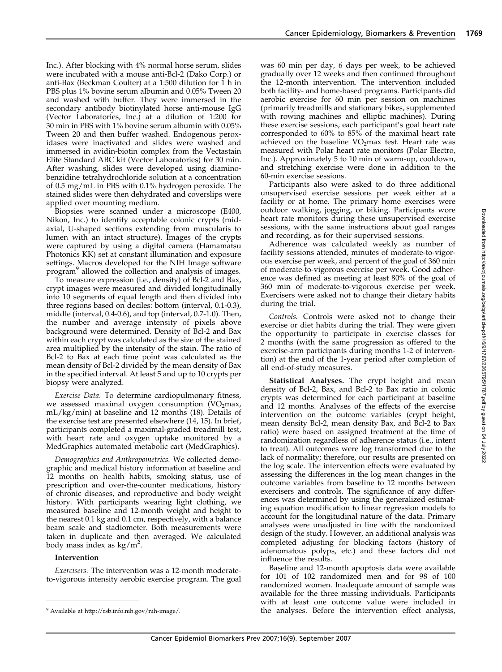Inc.). After blocking with 4% normal horse serum, slides were incubated with a mouse anti-Bcl-2 (Dako Corp.) or anti-Bax (Beckman Coulter) at a 1:500 dilution for  $\overline{1}$  h in PBS plus 1% bovine serum albumin and 0.05% Tween 20 and washed with buffer. They were immersed in the secondary antibody biotinylated horse anti-mouse IgG (Vector Laboratories, Inc.) at a dilution of 1:200 for 30 min in PBS with 1% bovine serum albumin with 0.05% Tween 20 and then buffer washed. Endogenous peroxidases were inactivated and slides were washed and immersed in avidin-biotin complex from the Vectastain Elite Standard ABC kit (Vector Laboratories) for 30 min. After washing, slides were developed using diaminobenzidine tetrahydrochloride solution at a concentration of 0.5 mg/mL in PBS with 0.1% hydrogen peroxide. The stained slides were then dehydrated and coverslips were applied over mounting medium.

Biopsies were scanned under a microscope (E400, Nikon, Inc.) to identify acceptable colonic crypts (midaxial, U-shaped sections extending from muscularis to lumen with an intact structure). Images of the crypts were captured by using a digital camera (Hamamatsu Photonics KK) set at constant illumination and exposure settings. Macros developed for the NIH Image software program<sup>9</sup> allowed the collection and analysis of images.

To measure expression (i.e., density) of Bcl-2 and Bax, crypt images were measured and divided longitudinally into 10 segments of equal length and then divided into three regions based on deciles: bottom (interval, 0.1-0.3), middle (interval, 0.4-0.6), and top (interval, 0.7-1.0). Then, the number and average intensity of pixels above background were determined. Density of Bcl-2 and Bax within each crypt was calculated as the size of the stained area multiplied by the intensity of the stain. The ratio of Bcl-2 to Bax at each time point was calculated as the mean density of Bcl-2 divided by the mean density of Bax in the specified interval. At least 5 and up to 10 crypts per biopsy were analyzed.

Exercise Data. To determine cardiopulmonary fitness, we assessed maximal oxygen consumption  $(VO<sub>2</sub>max,$ mL/kg/min) at baseline and 12 months (18). Details of the exercise test are presented elsewhere (14, 15). In brief, participants completed a maximal-graded treadmill test, with heart rate and oxygen uptake monitored by a MedGraphics automated metabolic cart (MedGraphics).

Demographics and Anthropometrics. We collected demographic and medical history information at baseline and 12 months on health habits, smoking status, use of prescription and over-the-counter medications, history of chronic diseases, and reproductive and body weight history. With participants wearing light clothing, we measured baseline and 12-month weight and height to the nearest 0.1 kg and 0.1 cm, respectively, with a balance beam scale and stadiometer. Both measurements were taken in duplicate and then averaged. We calculated body mass index as  $\text{kg/m}^2$ .

#### Intervention

Exercisers. The intervention was a 12-month moderateto-vigorous intensity aerobic exercise program. The goal was 60 min per day, 6 days per week, to be achieved gradually over 12 weeks and then continued throughout the 12-month intervention. The intervention included both facility- and home-based programs. Participants did aerobic exercise for 60 min per session on machines (primarily treadmills and stationary bikes, supplemented with rowing machines and elliptic machines). During these exercise sessions, each participant's goal heart rate corresponded to 60% to 85% of the maximal heart rate achieved on the baseline  $VO<sub>2</sub>$ max test. Heart rate was measured with Polar heart rate monitors (Polar Electro, Inc.). Approximately 5 to 10 min of warm-up, cooldown, and stretching exercise were done in addition to the 60-min exercise sessions.

Participants also were asked to do three additional unsupervised exercise sessions per week either at a facility or at home. The primary home exercises were outdoor walking, jogging, or biking. Participants wore heart rate monitors during these unsupervised exercise sessions, with the same instructions about goal ranges and recording, as for their supervised sessions.

Adherence was calculated weekly as number of facility sessions attended, minutes of moderate-to-vigorous exercise per week, and percent of the goal of 360 min of moderate-to-vigorous exercise per week. Good adherence was defined as meeting at least 80% of the goal of 360 min of moderate-to-vigorous exercise per week. Exercisers were asked not to change their dietary habits during the trial.

Controls. Controls were asked not to change their exercise or diet habits during the trial. They were given the opportunity to participate in exercise classes for 2 months (with the same progression as offered to the exercise-arm participants during months 1-2 of intervention) at the end of the 1-year period after completion of all end-of-study measures.

Statistical Analyses. The crypt height and mean density of Bcl-2, Bax, and Bcl-2 to Bax ratio in colonic crypts was determined for each participant at baseline and 12 months. Analyses of the effects of the exercise intervention on the outcome variables (crypt height, mean density Bcl-2, mean density Bax, and Bcl-2 to Bax ratio) were based on assigned treatment at the time of randomization regardless of adherence status (i.e., intent to treat). All outcomes were log transformed due to the lack of normality; therefore, our results are presented on the log scale. The intervention effects were evaluated by assessing the differences in the log mean changes in the outcome variables from baseline to 12 months between exercisers and controls. The significance of any differences was determined by using the generalized estimating equation modification to linear regression models to account for the longitudinal nature of the data. Primary analyses were unadjusted in line with the randomized design of the study. However, an additional analysis was completed adjusting for blocking factors (history of adenomatous polyps, etc.) and these factors did not influence the results.

Baseline and 12-month apoptosis data were available for 101 of 102 randomized men and for 98 of 100 randomized women. Inadequate amount of sample was available for the three missing individuals. Participants with at least one outcome value were included in <sup>9</sup> Available at http://rsb.info.nih.gov/nih-image/. **the analyses.** Before the intervention effect analysis,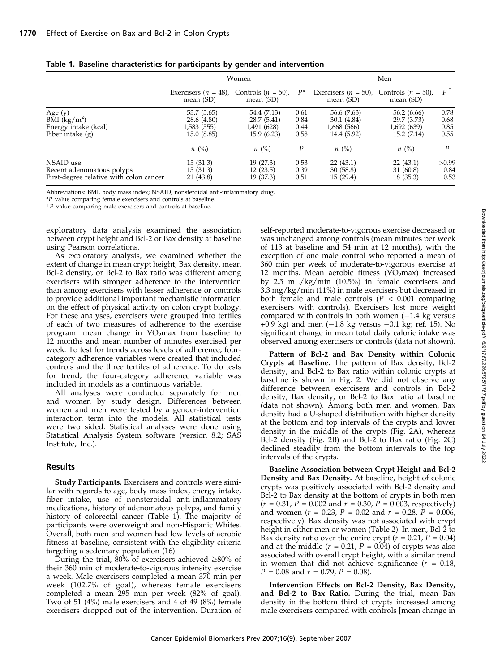|                                                                                   | Women                                                   |                                                          |                              | Men                                                      |                                                          |                              |  |
|-----------------------------------------------------------------------------------|---------------------------------------------------------|----------------------------------------------------------|------------------------------|----------------------------------------------------------|----------------------------------------------------------|------------------------------|--|
|                                                                                   | Exercisers $(n = 48)$ ,<br>mean $(SD)$                  | Controls $(n = 50)$ ,<br>mean (SD)                       | $P^*$                        | Exercisers $(n = 50)$ ,<br>mean $(SD)$                   | Controls $(n = 50)$ ,<br>mean (SD)                       | P                            |  |
| Age $(y)$<br>BMI $(kg/m^2)$<br>Energy intake (kcal)<br>Fiber intake $(g)$         | 53.7 (5.65)<br>28.6 (4.80)<br>1,583 (555)<br>15.0(8.85) | 54.4 (7.13)<br>28.7 (5.41)<br>1,491 (628)<br>15.9 (6.23) | 0.61<br>0.84<br>0.44<br>0.58 | 56.6 (7.63)<br>30.1 (4.84)<br>1,668 (566)<br>14.4 (5.92) | 56.2 (6.66)<br>29.7 (3.73)<br>1,692 (639)<br>15.2 (7.14) | 0.78<br>0.68<br>0.85<br>0.55 |  |
|                                                                                   | $n \ (\%)$                                              | $n \ (\%)$                                               | $\boldsymbol{P}$             | $n \ (\%)$                                               | $n \ (\%)$                                               | P                            |  |
| NSAID use<br>Recent adenomatous polyps<br>First-degree relative with colon cancer | 15(31.3)<br>15(31.3)<br>21 (43.8)                       | 19 (27.3)<br>12(23.5)<br>19 (37.3)                       | 0.53<br>0.39<br>0.51         | 22(43.1)<br>30(58.8)<br>15(29.4)                         | 22(43.1)<br>31 (60.8)<br>18 (35.3)                       | >0.99<br>0.84<br>0.53        |  |

#### Table 1. Baseline characteristics for participants by gender and intervention

Abbreviations: BMI, body mass index; NSAID, nonsteroidal anti-inflammatory drug.

\*P value comparing female exercisers and controls at baseline.

 $\uparrow$  P value comparing male exercisers and controls at baseline.

exploratory data analysis examined the association between crypt height and Bcl-2 or Bax density at baseline using Pearson correlations.

As exploratory analysis, we examined whether the extent of change in mean crypt height, Bax density, mean Bcl-2 density, or Bcl-2 to Bax ratio was different among exercisers with stronger adherence to the intervention than among exercisers with lesser adherence or controls to provide additional important mechanistic information on the effect of physical activity on colon crypt biology. For these analyses, exercisers were grouped into tertiles of each of two measures of adherence to the exercise program: mean change in  $VO<sub>2</sub>$  max from baseline to 12 months and mean number of minutes exercised per week. To test for trends across levels of adherence, fourcategory adherence variables were created that included controls and the three tertiles of adherence. To do tests for trend, the four-category adherence variable was included in models as a continuous variable.

All analyses were conducted separately for men and women by study design. Differences between women and men were tested by a gender-intervention interaction term into the models. All statistical tests were two sided. Statistical analyses were done using Statistical Analysis System software (version 8.2; SAS Institute, Inc.).

## Results

Study Participants. Exercisers and controls were similar with regards to age, body mass index, energy intake, fiber intake, use of nonsteroidal anti-inflammatory medications, history of adenomatous polyps, and family history of colorectal cancer (Table 1). The majority of participants were overweight and non-Hispanic Whites. Overall, both men and women had low levels of aerobic fitness at baseline, consistent with the eligibility criteria targeting a sedentary population (16).

During the trial, 80% of exercisers achieved  $\geq$ 80% of their 360 min of moderate-to-vigorous intensity exercise a week. Male exercisers completed a mean 370 min per week (102.7% of goal), whereas female exercisers completed a mean 295 min per week (82% of goal). Two of 51 (4%) male exercisers and 4 of 49 (8%) female exercisers dropped out of the intervention. Duration of self-reported moderate-to-vigorous exercise decreased or was unchanged among controls (mean minutes per week of 113 at baseline and 54 min at 12 months), with the exception of one male control who reported a mean of 360 min per week of moderate-to-vigorous exercise at 12 months. Mean aerobic fitness  $(VO<sub>2</sub>max)$  increased by 2.5 mL/kg/min (10.5%) in female exercisers and 3.3 mg/kg/min (11%) in male exercisers but decreased in both female and male controls ( $P < 0.001$  comparing exercisers with controls). Exercisers lost more weight compared with controls in both women  $(-1.4 \text{ kg} \text{ versus}$ +0.9 kg) and men  $(-1.8 \text{ kg} \text{ versus } -0.1 \text{ kg}$ ; ref. 15). No significant change in mean total daily caloric intake was observed among exercisers or controls (data not shown).

Pattern of Bcl-2 and Bax Density within Colonic Crypts at Baseline. The pattern of Bax density, Bcl-2 density, and Bcl-2 to Bax ratio within colonic crypts at baseline is shown in Fig. 2. We did not observe any difference between exercisers and controls in Bcl-2 density, Bax density, or Bcl-2 to Bax ratio at baseline (data not shown). Among both men and women, Bax density had a U-shaped distribution with higher density at the bottom and top intervals of the crypts and lower density in the middle of the crypts (Fig. 2A), whereas Bcl-2 density (Fig. 2B) and Bcl-2 to Bax ratio (Fig. 2C) declined steadily from the bottom intervals to the top intervals of the crypts.

Baseline Association between Crypt Height and Bcl-2 Density and Bax Density. At baseline, height of colonic crypts was positively associated with Bcl-2 density and Bcl-2 to Bax density at the bottom of crypts in both men  $(r = 0.31, P = 0.002$  and  $r = 0.30, P = 0.003$ , respectively) and women ( $r = 0.23$ ,  $P = 0.02$  and  $r = 0.28$ ,  $P = 0.006$ , respectively). Bax density was not associated with crypt height in either men or women (Table 2). In men, Bcl-2 to Bax density ratio over the entire crypt ( $r = 0.21$ ,  $P = 0.04$ ) and at the middle ( $r = 0.21$ ,  $P = 0.04$ ) of crypts was also associated with overall crypt height, with a similar trend in women that did not achieve significance  $(r = 0.18)$ ,  $P = 0.08$  and  $r = 0.79$ ,  $P = 0.08$ ).

Intervention Effects on Bcl-2 Density, Bax Density, and Bcl-2 to Bax Ratio. During the trial, mean Bax density in the bottom third of crypts increased among male exercisers compared with controls [mean change in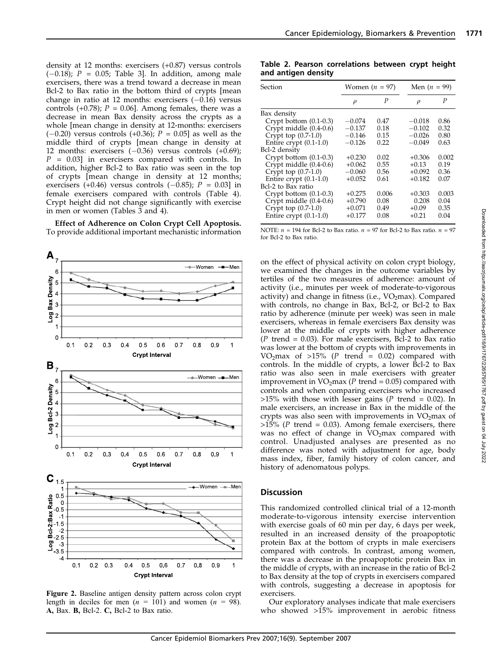density at 12 months: exercisers (+0.87) versus controls  $(-0.18)$ ; P = 0.05; Table 3. In addition, among male exercisers, there was a trend toward a decrease in mean Bcl-2 to Bax ratio in the bottom third of crypts [mean change in ratio at 12 months: exercisers  $(-0.16)$  versus controls (+0.78);  $P = 0.06$ ]. Among females, there was a decrease in mean Bax density across the crypts as a whole [mean change in density at 12-months: exercisers  $(-0.20)$  versus controls  $(+0.36)$ ;  $P = 0.05$ ] as well as the middle third of crypts [mean change in density at 12 months: exercisers  $(-0.36)$  versus controls  $(+0.69)$ ;  $P = 0.03$ ] in exercisers compared with controls. In addition, higher Bcl-2 to Bax ratio was seen in the top of crypts [mean change in density at 12 months; exercisers (+0.46) versus controls (-0.85);  $P = 0.03$ ] in female exercisers compared with controls (Table 4). Crypt height did not change significantly with exercise in men or women (Tables  $\tilde{3}$  and 4).

Effect of Adherence on Colon Crypt Cell Apoptosis. To provide additional important mechanistic information



Figure 2. Baseline antigen density pattern across colon crypt length in deciles for men ( $n = 101$ ) and women ( $n = 98$ ). A, Bax. B, Bcl-2. C, Bcl-2 to Bax ratio.

Table 2. Pearson correlations between crypt height and antigen density

| Section                  | Women $(n = 97)$ |       | Men $(n = 99)$ |       |
|--------------------------|------------------|-------|----------------|-------|
|                          | $\rho$           | P     | $\rho$         | P     |
| Bax density              |                  |       |                |       |
| Crypt bottom $(0.1-0.3)$ | $-0.074$         | 0.47  | $-0.018$       | 0.86  |
| Crypt middle (0.4-0.6)   | $-0.137$         | 0.18  | $-0.102$       | 0.32  |
| Crypt top $(0.7-1.0)$    | $-0.146$         | 0.15  | $-0.026$       | 0.80  |
| Entire crypt $(0.1-1.0)$ | $-0.126$         | 0.22  | $-0.049$       | 0.63  |
| Bcl-2 density            |                  |       |                |       |
| Crypt bottom $(0.1-0.3)$ | $+0.230$         | 0.02  | $+0.306$       | 0.002 |
| Crypt middle $(0.4-0.6)$ | $+0.062$         | 0.55  | $+0.13$        | 0.19  |
| Crypt top $(0.7-1.0)$    | $-0.060$         | 0.56  | $+0.092$       | 0.36  |
| Entire crypt $(0.1-1.0)$ | $+0.052$         | 0.61  | $+0.182$       | 0.07  |
| Bcl-2 to Bax ratio       |                  |       |                |       |
| Crypt bottom $(0.1-0.3)$ | $+0.275$         | 0.006 | $+0.303$       | 0.003 |
| Crypt middle $(0.4-0.6)$ | $+0.790$         | 0.08  | 0.208          | 0.04  |
| Crypt top $(0.7-1.0)$    | $+0.071$         | 0.49  | $+0.09$        | 0.35  |
| Entire crypt $(0.1-1.0)$ | $+0.177$         | 0.08  | $+0.21$        | 0.04  |

NOTE:  $n = 194$  for Bcl-2 to Bax ratio.  $n = 97$  for Bcl-2 to Bax ratio.  $n = 97$ for Bcl-2 to Bax ratio.

on the effect of physical activity on colon crypt biology, we examined the changes in the outcome variables by tertiles of the two measures of adherence: amount of activity (i.e., minutes per week of moderate-to-vigorous activity) and change in fitness (i.e.,  $VO<sub>2</sub>max$ ). Compared with controls, no change in Bax, Bcl-2, or Bcl-2 to Bax ratio by adherence (minute per week) was seen in male exercisers, whereas in female exercisers Bax density was lower at the middle of crypts with higher adherence  $(P$  trend = 0.03). For male exercisers, Bcl-2 to Bax ratio was lower at the bottom of crypts with improvements in VO<sub>2</sub>max of >15% (P trend = 0.02) compared with controls. In the middle of crypts, a lower Bcl-2 to Bax ratio was also seen in male exercisers with greater improvement in  $VO<sub>2</sub>max (P trend = 0.05) compared with$ controls and when comparing exercisers who increased  $>15\%$  with those with lesser gains (P trend = 0.02). In male exercisers, an increase in Bax in the middle of the crypts was also seen with improvements in  $VO<sub>2</sub>$ max of >15% (P trend = 0.03). Among female exercisers, there was no effect of change in VO<sub>2</sub>max compared with control. Unadjusted analyses are presented as no difference was noted with adjustment for age, body mass index, fiber, family history of colon cancer, and history of adenomatous polyps.

## **Discussion**

This randomized controlled clinical trial of a 12-month moderate-to-vigorous intensity exercise intervention with exercise goals of 60 min per day, 6 days per week, resulted in an increased density of the proapoptotic protein Bax at the bottom of crypts in male exercisers compared with controls. In contrast, among women, there was a decrease in the proapoptotic protein Bax in the middle of crypts, with an increase in the ratio of Bcl-2 to Bax density at the top of crypts in exercisers compared with controls, suggesting a decrease in apoptosis for exercisers.

Our exploratory analyses indicate that male exercisers who showed >15% improvement in aerobic fitness 1771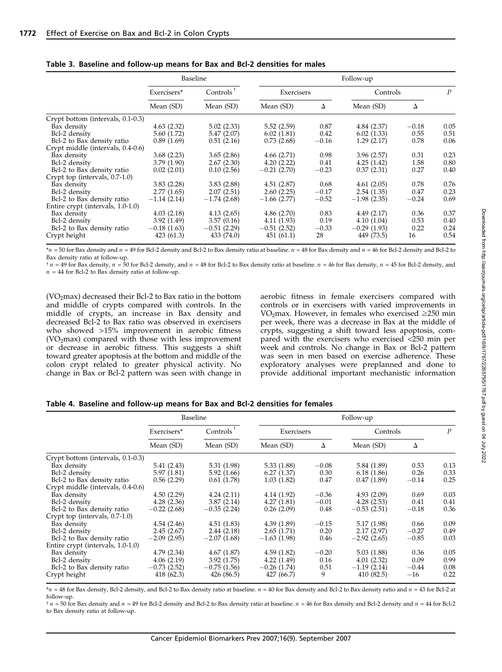|                                   | Baseline      |               | Follow-up     |         |               |         |                  |
|-----------------------------------|---------------|---------------|---------------|---------|---------------|---------|------------------|
|                                   | Exercisers*   | Controls      | Exercisers    |         | Controls      |         | $\boldsymbol{P}$ |
|                                   | Mean (SD)     | Mean (SD)     | Mean (SD)     | Δ       | Mean (SD)     | Δ       |                  |
| Crypt bottom (intervals, 0.1-0.3) |               |               |               |         |               |         |                  |
| Bax density                       | 4.63(2.32)    | 5.02(2.33)    | 5.52(2.59)    | 0.87    | 4.84(2.37)    | $-0.18$ | 0.05             |
| Bcl-2 density                     | 5.60 (1.72)   | 5.47(2.07)    | 6.02(1.81)    | 0.42    | 6.02(1.33)    | 0.55    | 0.51             |
| Bcl-2 to Bax density ratio        | 0.89(1.69)    | 0.51(2.16)    | 0.73(2.68)    | $-0.16$ | 1.29(2.17)    | 0.78    | 0.06             |
| Crypt middle (intervals, 0.4-0.6) |               |               |               |         |               |         |                  |
| Bax density                       | 3.68(2.23)    | 3.65(2.86)    | 4.66(2.71)    | 0.98    | 3.96(2.57)    | 0.31    | 0.23             |
| Bcl-2 density                     | 3.79(1.90)    | 2.67(2.30)    | 4.20(2.22)    | 0.41    | 4.25(1.42)    | 1.58    | 0.80             |
| Bcl-2 to Bax density ratio        | 0.02(2.01)    | 0.10(2.56)    | $-0.21(2.70)$ | $-0.23$ | 0.37(2.31)    | 0.27    | 0.40             |
| Crypt top (intervals, 0.7-1.0)    |               |               |               |         |               |         |                  |
| Bax density                       | 3.83(2.28)    | 3.83(2.88)    | 4.51(2.87)    | 0.68    | 4.61(2.05)    | 0.78    | 0.76             |
| Bcl-2 density                     | 2.77(1.65)    | 2.07(2.51)    | 2.60(2.25)    | $-0.17$ | 2.54(1.35)    | 0.47    | 0.23             |
| Bcl-2 to Bax density ratio        | $-1.14(2.14)$ | $-1.74(2.68)$ | $-1.66(2.77)$ | $-0.52$ | $-1.98(2.35)$ | $-0.24$ | 0.69             |
| Entire crypt (intervals, 1.0-1.0) |               |               |               |         |               |         |                  |
| Bax density                       | 4.03(2.18)    | 4.13(2.65)    | 4.86(2.70)    | 0.83    | 4.49(2.17)    | 0.36    | 0.37             |
| Bcl-2 density                     | 3.92(1.49)    | 3.57(0.16)    | 4.11 (1.93)   | 0.19    | 4.10(1.04)    | 0.53    | 0.40             |
| Bcl-2 to Bax density ratio        | $-0.18(1.63)$ | $-0.51(2.29)$ | $-0.51(2.52)$ | $-0.33$ | $-0.29(1.93)$ | 0.22    | 0.24             |
| Crypt height                      | 423 (61.3)    | 433 (74.0)    | 451(61.1)     | 28      | 449 (73.5)    | 16      | 0.54             |

Table 3. Baseline and follow-up means for Bax and Bcl-2 densities for males

 $n = 50$  for Bax density and  $n = 49$  for Bcl-2 density and Bcl-2 to Bax density ratio at baseline.  $n = 48$  for Bax density and  $n = 46$  for Bcl-2 density and Bcl-2 to Bax density ratio at follow-up.

 $\tau$   $n = 49$  for Bax density,  $n = 50$  for Bcl-2 density, and  $n = 48$  for Bcl-2 to Bax density ratio at baseline.  $n = 46$  for Bax density,  $n = 45$  for Bcl-2 density, and  $n = 44$  for Bcl-2 to Bax density ratio at follow-up.

(VO<sub>2</sub>max) decreased their Bcl-2 to Bax ratio in the bottom and middle of crypts compared with controls. In the middle of crypts, an increase in Bax density and decreased Bcl-2 to Bax ratio was observed in exercisers who showed >15% improvement in aerobic fitness  $(VO<sub>2</sub>max)$  compared with those with less improvement or decrease in aerobic fitness. This suggests a shift toward greater apoptosis at the bottom and middle of the colon crypt related to greater physical activity. No change in Bax or Bcl-2 pattern was seen with change in aerobic fitness in female exercisers compared with controls or in exercisers with varied improvements in VO<sub>2</sub>max. However, in females who exercised  $\geq$ 250 min per week, there was a decrease in Bax at the middle of crypts, suggesting a shift toward less apoptosis, compared with the exercisers who exercised <250 min per week and controls. No change in Bax or Bcl-2 pattern was seen in men based on exercise adherence. These exploratory analyses were preplanned and done to provide additional important mechanistic information

Table 4. Baseline and follow-up means for Bax and Bcl-2 densities for females

|                                   | Baseline      |               | Follow-up     |         |               |         |                  |
|-----------------------------------|---------------|---------------|---------------|---------|---------------|---------|------------------|
|                                   | Exercisers*   | Controls      | Exercisers    |         | Controls      |         | $\boldsymbol{P}$ |
|                                   | Mean (SD)     | Mean (SD)     | Mean (SD)     | Δ       | Mean (SD)     | Δ       |                  |
| Crypt bottom (intervals, 0.1-0.3) |               |               |               |         |               |         |                  |
| Bax density                       | 5.41(2.43)    | 5.31 (1.98)   | 5.33(1.88)    | $-0.08$ | 5.84 (1.89)   | 0.53    | 0.13             |
| Bcl-2 density                     | 5.97 (1.81)   | 5.92(1.66)    | 6.27(1.37)    | 0.30    | 6.18(1.86)    | 0.26    | 0.33             |
| Bcl-2 to Bax density ratio        | 0.56(2.29)    | 0.61(1.78)    | 1.03(1.82)    | 0.47    | 0.47(1.89)    | $-0.14$ | 0.25             |
| Crypt middle (intervals, 0.4-0.6) |               |               |               |         |               |         |                  |
| Bax density                       | 4.50(2.29)    | 4.24(2.11)    | 4.14(1.92)    | $-0.36$ | 4.93(2.09)    | 0.69    | 0.03             |
| Bcl-2 density                     | 4.28(2.36)    | 3.87(2.14)    | 4.27(1.81)    | $-0.01$ | 4.28(2.53)    | 0.41    | 0.41             |
| Bcl-2 to Bax density ratio        | $-0.22(2.68)$ | $-0.35(2.24)$ | 0.26(2.09)    | 0.48    | $-0.53(2.51)$ | $-0.18$ | 0.36             |
| Crypt top (intervals, 0.7-1.0)    |               |               |               |         |               |         |                  |
| Bax density                       | 4.54(2.46)    | 4.51(1.83)    | 4.39(1.89)    | $-0.15$ | 5.17 (1.98)   | 0.66    | 0.09             |
| Bcl-2 density                     | 2.45(2.67)    | 2.44(2.18)    | 2.65(1.71)    | 0.20    | 2.17(2.97)    | $-0.27$ | 0.49             |
| Bcl-2 to Bax density ratio        | $-2.09(2.95)$ | $-2.07(1.68)$ | $-1.63(1.98)$ | 0.46    | $-2.92(2.65)$ | $-0.85$ | 0.03             |
| Entire crypt (intervals, 1.0-1.0) |               |               |               |         |               |         |                  |
| Bax density                       | 4.79 (2.34)   | 4.67(1.87)    | 4.59(1.82)    | $-0.20$ | 5.03(1.88)    | 0.36    | 0.05             |
| Bcl-2 density                     | 4.06(2.19)    | 3.92(1.75)    | 4.22(1.49)    | 0.16    | 4.01(2.32)    | 0.09    | 0.99             |
| Bcl-2 to Bax density ratio        | $-0.73(2.52)$ | $-0.75(1.56)$ | $-0.26(1.74)$ | 0.51    | $-1.19(2.14)$ | $-0.44$ | 0.08             |
| Crypt height                      | 418 (62.3)    | 426 (86.5)    | 427 (66.7)    | 9       | 410 (82.5)    | $-16$   | 0.22             |
|                                   |               |               |               |         |               |         |                  |

 $*_n$  = 48 for Bax density, Bcl-2 density, and Bcl-2 to Bax density ratio at baseline.  $n = 40$  for Bax density and Bcl-2 to Bax density ratio and  $n = 43$  for Bcl-2 at follow-up.

 $\tau$   $n = 50$  for Bax density and  $n = 49$  for Bcl-2 density and Bcl-2 to Bax density ratio at baseline.  $n = 46$  for Bax density and Bcl-2 density and  $n = 44$  for Bcl-2 to Bax density ratio at follow-up.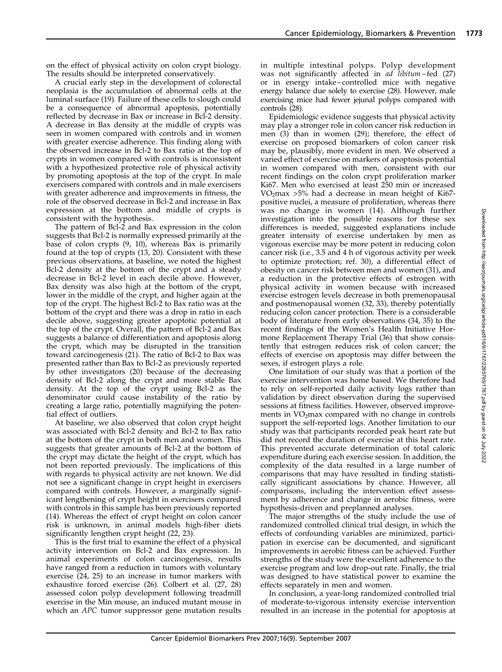on the effect of physical activity on colon crypt biology. The results should be interpreted conservatively.

A crucial early step in the development of colorectal neoplasia is the accumulation of abnormal cells at the luminal surface (19). Failure of these cells to slough could be a consequence of abnormal apoptosis, potentially reflected by decrease in Bax or increase in Bcl-2 density. A decrease in Bax density at the middle of crypts was seen in women compared with controls and in women with greater exercise adherence. This finding along with the observed increase in Bcl-2 to Bax ratio at the top of crypts in women compared with controls is inconsistent with a hypothesized protective role of physical activity by promoting apoptosis at the top of the crypt. In male exercisers compared with controls and in male exercisers with greater adherence and improvements in fitness, the role of the observed decrease in Bcl-2 and increase in Bax expression at the bottom and middle of crypts is consistent with the hypothesis.

The pattern of Bcl-2 and Bax expression in the colon suggests that Bcl-2 is normally expressed primarily at the base of colon crypts (9, 10), whereas Bax is primarily found at the top of crypts (13, 20). Consistent with these previous observations, at baseline, we noted the highest Bcl-2 density at the bottom of the crypt and a steady decrease in Bcl-2 level in each decile above. However, Bax density was also high at the bottom of the crypt, lower in the middle of the crypt, and higher again at the top of the crypt. The highest Bcl-2 to Bax ratio was at the bottom of the crypt and there was a drop in ratio in each decile above, suggesting greater apoptotic potential at the top of the crypt. Overall, the pattern of Bcl-2 and Bax suggests a balance of differentiation and apoptosis along the crypt, which may be disrupted in the transition toward carcinogenesis (21). The ratio of Bcl-2 to Bax was presented rather than Bax to Bcl-2 as previously reported by other investigators (20) because of the decreasing density of Bcl-2 along the crypt and more stable Bax density. At the top of the crypt using Bcl-2 as the denominator could cause instability of the ratio by creating a large ratio, potentially magnifying the potential effect of outliers.

At baseline, we also observed that colon crypt height was associated with Bcl-2 density and Bcl-2 to Bax ratio at the bottom of the crypt in both men and women. This suggests that greater amounts of Bcl-2 at the bottom of the crypt may dictate the height of the crypt, which has not been reported previously. The implications of this with regards to physical activity are not known. We did not see a significant change in crypt height in exercisers compared with controls. However, a marginally significant lengthening of crypt height in exercisers compared with controls in this sample has been previously reported (14). Whereas the effect of crypt height on colon cancer risk is unknown, in animal models high-fiber diets significantly lengthen crypt height (22, 23).

This is the first trial to examine the effect of a physical activity intervention on Bcl-2 and Bax expression. In animal experiments of colon carcinogenesis, results have ranged from a reduction in tumors with voluntary exercise (24, 25) to an increase in tumor markers with exhaustive forced exercise (26). Colbert et al. (27, 28) assessed colon polyp development following treadmill exercise in the Min mouse, an induced mutant mouse in which an APC tumor suppressor gene mutation results in multiple intestinal polyps. Polyp development was not significantly affected in *ad libitum* – fed (27) or in energy intake – controlled mice with negative energy balance due solely to exercise (28). However, male exercising mice had fewer jejunal polyps compared with controls (28).

Epidemiologic evidence suggests that physical activity may play a stronger role in colon cancer risk reduction in men (3) than in women (29); therefore, the effect of exercise on proposed biomarkers of colon cancer risk may be, plausibly, more evident in men. We observed a varied effect of exercise on markers of apoptosis potential in women compared with men, consistent with our recent findings on the colon crypt proliferation marker Ki67. Men who exercised at least 250 min or increased  $VO<sub>2</sub>max >5%$  had a decrease in mean height of Ki67positive nuclei, a measure of proliferation, whereas there was no change in women (14). Although further investigation into the possible reasons for these sex differences is needed, suggested explanations include greater intensity of exercise undertaken by men as vigorous exercise may be more potent in reducing colon cancer risk (i.e., 3.5 and 4 h of vigorous activity per week to optimize protection; ref. 30), a differential effect of obesity on cancer risk between men and women (31), and a reduction in the protective effects of estrogen with physical activity in women because with increased exercise estrogen levels decrease in both premenopausal and postmenopausal women (32, 33), thereby potentially reducing colon cancer protection. There is a considerable body of literature from early observations (34, 35) to the recent findings of the Women's Health Initiative Hormone Replacement Therapy Trial (36) that show consistently that estrogen reduces risk of colon cancer; the effects of exercise on apoptosis may differ between the sexes, if estrogen plays a role.

One limitation of our study was that a portion of the exercise intervention was home based. We therefore had to rely on self-reported daily activity logs rather than validation by direct observation during the supervised sessions at fitness facilities. However, observed improvements in  $VO<sub>2</sub>max$  compared with no change in controls support the self-reported logs. Another limitation to our study was that participants recorded peak heart rate but did not record the duration of exercise at this heart rate. This prevented accurate determination of total caloric expenditure during each exercise session. In addition, the complexity of the data resulted in a large number of comparisons that may have resulted in finding statistically significant associations by chance. However, all comparisons, including the intervention effect assessment by adherence and change in aerobic fitness, were hypothesis-driven and preplanned analyses.

The major strengths of the study include the use of randomized controlled clinical trial design, in which the effects of confounding variables are minimized, participation in exercise can be documented, and significant improvements in aerobic fitness can be achieved. Further strengths of the study were the excellent adherence to the exercise program and low drop-out rate. Finally, the trial was designed to have statistical power to examine the effects separately in men and women.

In conclusion, a year-long randomized controlled trial of moderate-to-vigorous intensity exercise intervention resulted in an increase in the potential for apoptosis at